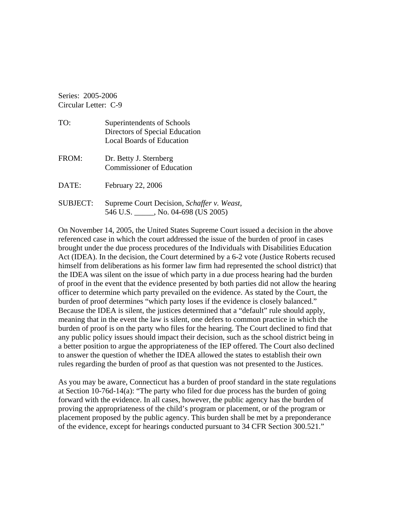Series: 2005-2006 Circular Letter: C-9

| TO:             | Superintendents of Schools<br>Directors of Special Education<br><b>Local Boards of Education</b> |
|-----------------|--------------------------------------------------------------------------------------------------|
| FROM:           | Dr. Betty J. Sternberg<br><b>Commissioner of Education</b>                                       |
| DATE:           | February 22, 2006                                                                                |
| <b>SUBJECT:</b> | Supreme Court Decision, Schaffer v. Weast,<br>546 U.S. _____, No. 04-698 (US 2005)               |

On November 14, 2005, the United States Supreme Court issued a decision in the above referenced case in which the court addressed the issue of the burden of proof in cases brought under the due process procedures of the Individuals with Disabilities Education Act (IDEA). In the decision, the Court determined by a 6-2 vote (Justice Roberts recused himself from deliberations as his former law firm had represented the school district) that the IDEA was silent on the issue of which party in a due process hearing had the burden of proof in the event that the evidence presented by both parties did not allow the hearing officer to determine which party prevailed on the evidence. As stated by the Court, the burden of proof determines "which party loses if the evidence is closely balanced." Because the IDEA is silent, the justices determined that a "default" rule should apply, meaning that in the event the law is silent, one defers to common practice in which the burden of proof is on the party who files for the hearing. The Court declined to find that any public policy issues should impact their decision, such as the school district being in a better position to argue the appropriateness of the IEP offered. The Court also declined to answer the question of whether the IDEA allowed the states to establish their own rules regarding the burden of proof as that question was not presented to the Justices.

As you may be aware, Connecticut has a burden of proof standard in the state regulations at Section 10-76d-14(a): "The party who filed for due process has the burden of going forward with the evidence. In all cases, however, the public agency has the burden of proving the appropriateness of the child's program or placement, or of the program or placement proposed by the public agency. This burden shall be met by a preponderance of the evidence, except for hearings conducted pursuant to 34 CFR Section 300.521."